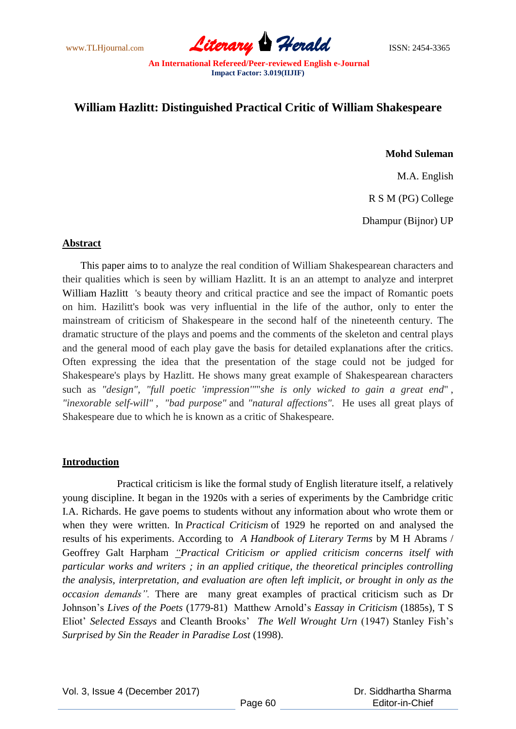www.TLHjournal.com **Literary Herald Herald** ISSN: 2454-3365

# **William Hazlitt: Distinguished Practical Critic of William Shakespeare**

# **Mohd Suleman**

M.A. English

R S M (PG) College

Dhampur (Bijnor) UP

#### **Abstract**

 This paper aims to to analyze the real condition of William Shakespearean characters and their qualities which is seen by william Hazlitt. It is an an attempt to analyze and interpret William Hazlitt 's beauty theory and critical practice and see the impact of Romantic poets on him. Hazilitt's book was very influential in the life of the author, only to enter the mainstream of criticism of Shakespeare in the second half of the nineteenth century. The dramatic structure of the plays and poems and the comments of the skeleton and central plays and the general mood of each play gave the basis for detailed explanations after the critics. Often expressing the idea that the presentation of the stage could not be judged for Shakespeare's plays by Hazlitt. He shows many great example of Shakespearean characters such as *"design", "full poetic 'impression'"*"*she is only wicked to gain a great end*" , *"inexorable self-will" , "bad purpose"* and *"natural affections".* He uses all great plays of Shakespeare due to which he is known as a critic of Shakespeare.

#### **Introduction**

 Practical criticism is like the formal study of English literature itself, a relatively young discipline. It began in the 1920s with a series of experiments by the Cambridge critic I.A. Richards. He gave poems to students without any information about who wrote them or when they were written. In *Practical Criticism* of 1929 he reported on and analysed the results of his experiments. According to *A Handbook of Literary Terms* by M H Abrams / Geoffrey Galt Harpham *"Practical Criticism or applied criticism concerns itself with particular works and writers ; in an applied critique, the theoretical principles controlling the analysis, interpretation, and evaluation are often left implicit, or brought in only as the occasion demands".* There are many great examples of practical criticism such as Dr Johnson's *Lives of the Poets* (1779-81) Matthew Arnold's *Eassay in Criticism* (1885s), T S Eliot' *Selected Essays* and Cleanth Brooks' *The Well Wrought Urn* (1947) Stanley Fish's *Surprised by Sin the Reader in Paradise Lost* (1998).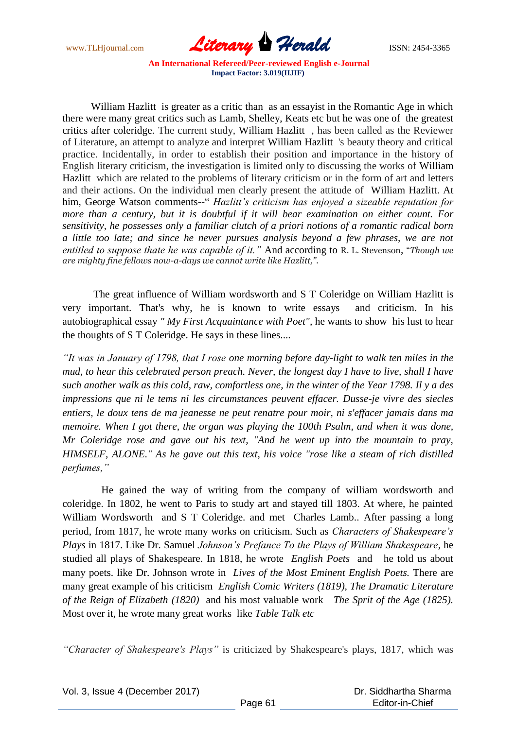www.TLHjournal.com **Literary Herald Branch** ISSN: 2454-3365

William Hazlitt is greater as a critic than as an essayist in the Romantic Age in which there were many great critics such as Lamb, Shelley, Keats etc but he was one of the greatest critics after coleridge. The current study, William Hazlitt , has been called as the Reviewer of Literature, an attempt to analyze and interpret William Hazlitt 's beauty theory and critical practice. Incidentally, in order to establish their position and importance in the history of English literary criticism, the investigation is limited only to discussing the works of William Hazlitt which are related to the problems of literary criticism or in the form of art and letters and their actions. On the individual men clearly present the attitude of William Hazlitt. At him, George Watson comments--" *Hazlitt's criticism has enjoyed a sizeable reputation for more than a century, but it is doubtful if it will bear examination on either count. For sensitivity, he possesses only a familiar clutch of a priori notions of a romantic radical born a little too late; and since he never pursues analysis beyond a few phrases, we are not entitled to suppose thate he was capable of it."* And according to R. L. Stevenson, "*Though we are mighty fine fellows now-a-days we cannot write like Hazlitt,".*

 The great influence of William wordsworth and S T Coleridge on William Hazlitt is very important. That's why, he is known to write essays and criticism. In his autobiographical essay *" My First Acquaintance with Poet",* he wants to show his lust to hear the thoughts of S T Coleridge. He says in these lines....

*"It was in January of 1798, that I rose one morning before day-light to walk ten miles in the mud, to hear this celebrated person preach. Never, the longest day I have to live, shall I have such another walk as this cold, raw, comfortless one, in the winter of the Year 1798. Il y a des impressions que ni le tems ni les circumstances peuvent effacer. Dusse-je vivre des siecles entiers, le doux tens de ma jeanesse ne peut renatre pour moir, ni s'effacer jamais dans ma memoire. When I got there, the organ was playing the 100th Psalm, and when it was done, Mr Coleridge rose and gave out his text, "And he went up into the mountain to pray, HIMSELF, ALONE." As he gave out this text, his voice "rose like a steam of rich distilled perfumes,"*

 He gained the way of writing from the company of william wordsworth and coleridge. In 1802, he went to Paris to study art and stayed till 1803. At where, he painted William Wordsworth and S T Coleridge. and met Charles Lamb.. After passing a long period, from 1817, he wrote many works on criticism. Such as *Characters of Shakespeare's Plays* in 1817. Like Dr. Samuel *Johnson's Prefance To the Plays of William Shakespeare*, he studied all plays of Shakespeare. In 1818, he wrote *English Poets* and he told us about many poets. like Dr. Johnson wrote in *Lives of the Most Eminent English Poets.* There are many great example of his criticism *English Comic Writers (1819), The Dramatic Literature of the Reign of Elizabeth (1820)* and his most valuable work *The Sprit of the Age (1825).*  Most over it, he wrote many great works like *Table Talk etc*

*"Character of Shakespeare's Plays"* is criticized by Shakespeare's plays, 1817, which was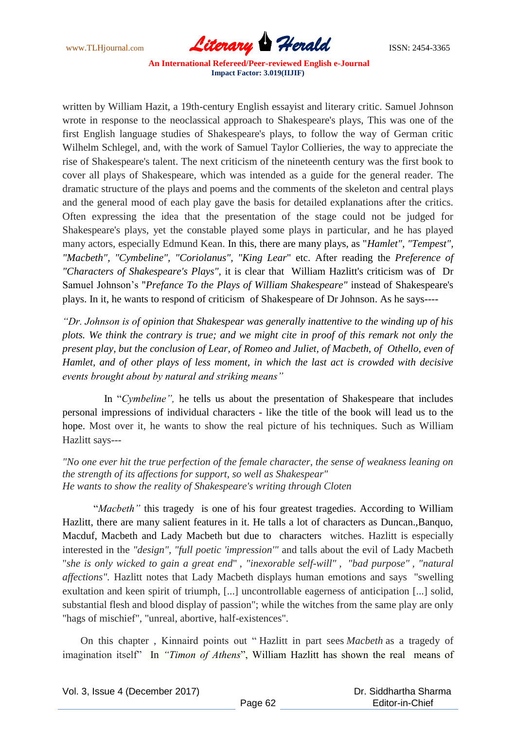www.TLHjournal.com **Literary Herald Herald** ISSN: 2454-3365

written by William Hazit, a 19th-century English essayist and literary critic. Samuel Johnson wrote in response to the neoclassical approach to Shakespeare's plays, This was one of the first English language studies of Shakespeare's plays, to follow the way of German critic Wilhelm Schlegel, and, with the work of Samuel Taylor Collieries, the way to appreciate the rise of Shakespeare's talent. The next criticism of the nineteenth century was the first book to cover all plays of Shakespeare, which was intended as a guide for the general reader. The dramatic structure of the plays and poems and the comments of the skeleton and central plays and the general mood of each play gave the basis for detailed explanations after the critics. Often expressing the idea that the presentation of the stage could not be judged for Shakespeare's plays, yet the constable played some plays in particular, and he has played many actors, especially Edmund Kean. In this, there are many plays, as "*Hamlet", "Tempest", "Macbeth", "Cymbeline", "Coriolanus", "King Lear*" etc. After reading the *Preference of "Characters of Shakespeare's Plays",* it is clear that William Hazlitt's criticism was of Dr Samuel Johnson's "*Prefance To the Plays of William Shakespeare"* instead of Shakespeare's plays. In it, he wants to respond of criticism of Shakespeare of Dr Johnson. As he says----

*"Dr. Johnson is of opinion that Shakespear was generally inattentive to the winding up of his plots. We think the contrary is true; and we might cite in proof of this remark not only the present play, but the conclusion of Lear, of Romeo and Juliet, of Macbeth, of Othello, even of Hamlet, and of other plays of less moment, in which the last act is crowded with decisive events brought about by natural and striking means"*

 In "*Cymbeline",* he tells us about the presentation of Shakespeare that includes personal impressions of individual characters - like the title of the book will lead us to the hope. Most over it, he wants to show the real picture of his techniques. Such as William Hazlitt says---

*"No one ever hit the true perfection of the female character, the sense of weakness leaning on the strength of its affections for support, so well as Shakespear" He wants to show the reality of Shakespeare's writing through Cloten*

 "*Macbeth"* this tragedy is one of his four greatest tragedies. According to William Hazlitt, there are many salient features in it. He talls a lot of characters as Duncan.,Banquo, Macduf, Macbeth and Lady Macbeth but due to characters witches. Hazlitt is especially interested in the *"design", "full poetic 'impression'"* and talls about the evil of Lady Macbeth "*she is only wicked to gain a great end*" , *"inexorable self-will" , "bad purpose" , "natural affections".* Hazlitt notes that Lady Macbeth displays human emotions and says "swelling exultation and keen spirit of triumph, [...] uncontrollable eagerness of anticipation [...] solid, substantial flesh and blood display of passion"; while the witches from the same play are only "hags of mischief", "unreal, abortive, half-existences".

 On this chapter , Kinnaird points out " Hazlitt in part sees *Macbeth* as a tragedy of imagination itself" In *"Timon of Athens*", William Hazlitt has shown the real means of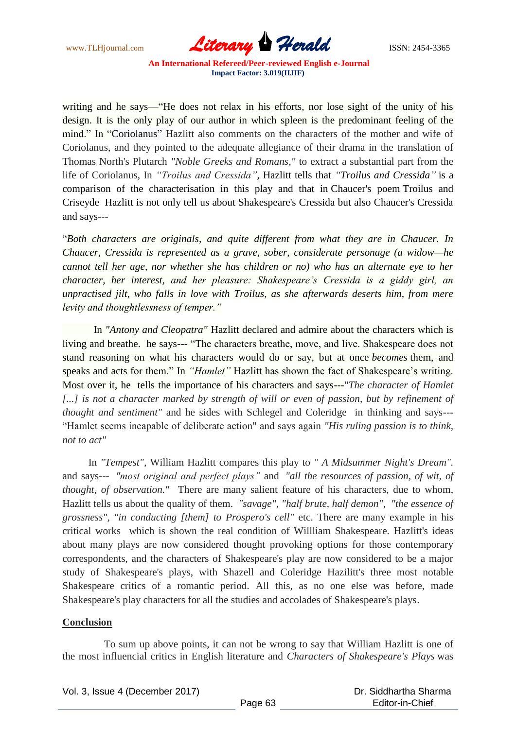

writing and he says—"He does not relax in his efforts, nor lose sight of the unity of his design. It is the only play of our author in which spleen is the predominant feeling of the mind." In "Coriolanus" Hazlitt also comments on the characters of the mother and wife of Coriolanus, and they pointed to the adequate allegiance of their drama in the translation of Thomas North's Plutarch *"Noble Greeks and Romans,"* to extract a substantial part from the life of Coriolanus, In *"Troilus and Cressida",* Hazlitt tells that *"Troilus and Cressida"* is a comparison of the characterisation in this play and that in Chaucer's poem Troilus and Criseyde Hazlitt is not only tell us about Shakespeare's Cressida but also Chaucer's Cressida and says---

"*Both characters are originals, and quite different from what they are in Chaucer. In Chaucer, Cressida is represented as a grave, sober, considerate personage (a widow—he cannot tell her age, nor whether she has children or no) who has an alternate eye to her character, her interest, and her pleasure: Shakespeare's Cressida is a giddy girl, an unpractised jilt, who falls in love with Troilus, as she afterwards deserts him, from mere levity and thoughtlessness of temper."*

 In *"Antony and Cleopatra"* Hazlitt declared and admire about the characters which is living and breathe. he says--- "The characters breathe, move, and live. Shakespeare does not stand reasoning on what his characters would do or say, but at once *becomes* them, and speaks and acts for them." In *"Hamlet"* Hazlitt has shown the fact of Shakespeare's writing. Most over it, he tells the importance of his characters and says---"*The character of Hamlet*  [...] is not a character marked by strength of will or even of passion, but by refinement of *thought and sentiment"* and he sides with Schlegel and Coleridge in thinking and says--- "Hamlet seems incapable of deliberate action" and says again *"His ruling passion is to think, not to act"*

 In *"Tempest",* William Hazlitt compares this play to *" A Midsummer Night's Dream".* and says--- *"most original and perfect plays"* and *"all the resources of passion, of wit, of thought, of observation."* There are many salient feature of his characters, due to whom, Hazlitt tells us about the quality of them. *"savage", "half brute, half demon", "the essence of grossness", "in conducting [them] to Prospero's cell"* etc. There are many example in his critical works which is shown the real condition of Willliam Shakespeare. Hazlitt's ideas about many plays are now considered thought provoking options for those contemporary correspondents, and the characters of Shakespeare's play are now considered to be a major study of Shakespeare's plays, with Shazell and Coleridge Hazilitt's three most notable Shakespeare critics of a romantic period. All this, as no one else was before, made Shakespeare's play characters for all the studies and accolades of Shakespeare's plays.

## **Conclusion**

 To sum up above points, it can not be wrong to say that William Hazlitt is one of the most influencial critics in English literature and *Characters of Shakespeare's Plays* was